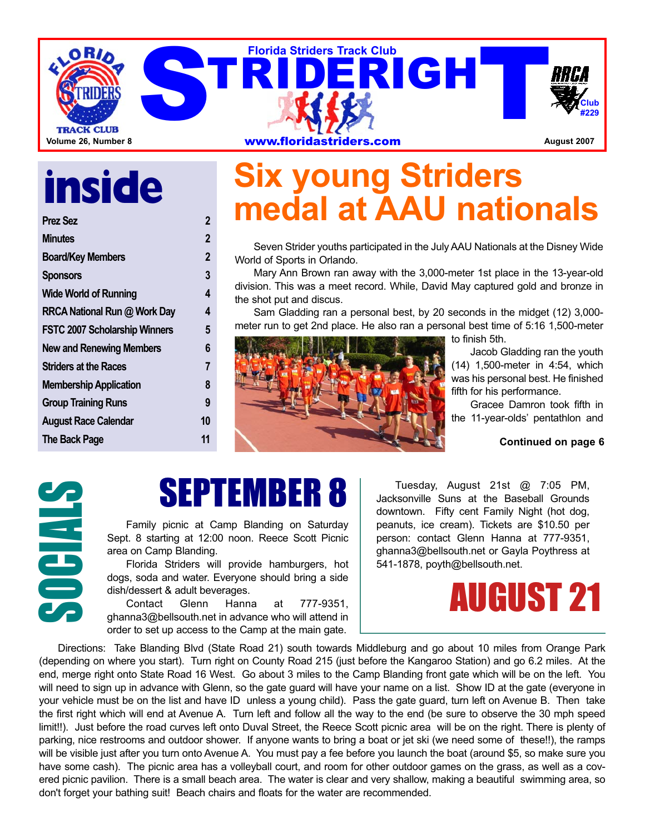

# **inside**

**Prez Sez 2**

| 2  |
|----|
| 2  |
| 3  |
| 4  |
| 4  |
| 5  |
| 6  |
| 7  |
| 8  |
| 9  |
| 10 |
| 11 |
|    |

## **Six young Striders medal at AAU nationals**

Seven Strider youths participated in the July AAU Nationals at the Disney Wide World of Sports in Orlando.

Mary Ann Brown ran away with the 3,000-meter 1st place in the 13-year-old division. This was a meet record. While, David May captured gold and bronze in the shot put and discus.

Sam Gladding ran a personal best, by 20 seconds in the midget (12) 3,000 meter run to get 2nd place. He also ran a personal best time of 5:16 1,500-meter



to finish 5th.

Jacob Gladding ran the youth (14) 1,500-meter in 4:54, which was his personal best. He finished fifth for his performance.

Gracee Damron took fifth in the 11-year-olds' pentathlon and

#### **Continued on page 6**

## SEPTEMBER 8

Sept. 8 starting at 12:00 noon. Reece Scott Picnic area on Camp Blanding.

EMBER 8<br>
Family picnic at Camp Blanding on Saturday<br>
Sept. 8 starting at 12:00 noon. Reece Scott Picnic<br>
area on Camp Blanding.<br>
Florida Striders will provide hamburgers, hot<br>
dogs, soda and water. Everyone should bring a Florida Striders will provide hamburgers, hot dogs, soda and water. Everyone should bring a side dish/dessert & adult beverages.

777-9351. ghanna3@bellsouth.net in advance who will attend in order to set up access to the Camp at the main gate.

Tuesday, August 21st @ 7:05 PM, Jacksonville Suns at the Baseball Grounds downtown. Fifty cent Family Night (hot dog, peanuts, ice cream). Tickets are \$10.50 per person: contact Glenn Hanna at 777-9351, ghanna3@bellsouth.net or Gayla Poythress at 541-1878, poyth@bellsouth.net.

## AUGUST 21

Directions: Take Blanding Blvd (State Road 21) south towards Middleburg and go about 10 miles from Orange Park (depending on where you start). Turn right on County Road 215 (just before the Kangaroo Station) and go 6.2 miles. At the end, merge right onto State Road 16 West. Go about 3 miles to the Camp Blanding front gate which will be on the left. You will need to sign up in advance with Glenn, so the gate guard will have your name on a list. Show ID at the gate (everyone in your vehicle must be on the list and have ID unless a young child). Pass the gate guard, turn left on Avenue B. Then take the first right which will end at Avenue A. Turn left and follow all the way to the end (be sure to observe the 30 mph speed limit!!). Just before the road curves left onto Duval Street, the Reece Scott picnic area will be on the right. There is plenty of parking, nice restrooms and outdoor shower. If anyone wants to bring a boat or jet ski (we need some of these!!), the ramps will be visible just after you turn onto Avenue A. You must pay a fee before you launch the boat (around \$5, so make sure you have some cash). The picnic area has a volleyball court, and room for other outdoor games on the grass, as well as a covered picnic pavilion. There is a small beach area. The water is clear and very shallow, making a beautiful swimming area, so don't forget your bathing suit! Beach chairs and floats for the water are recommended.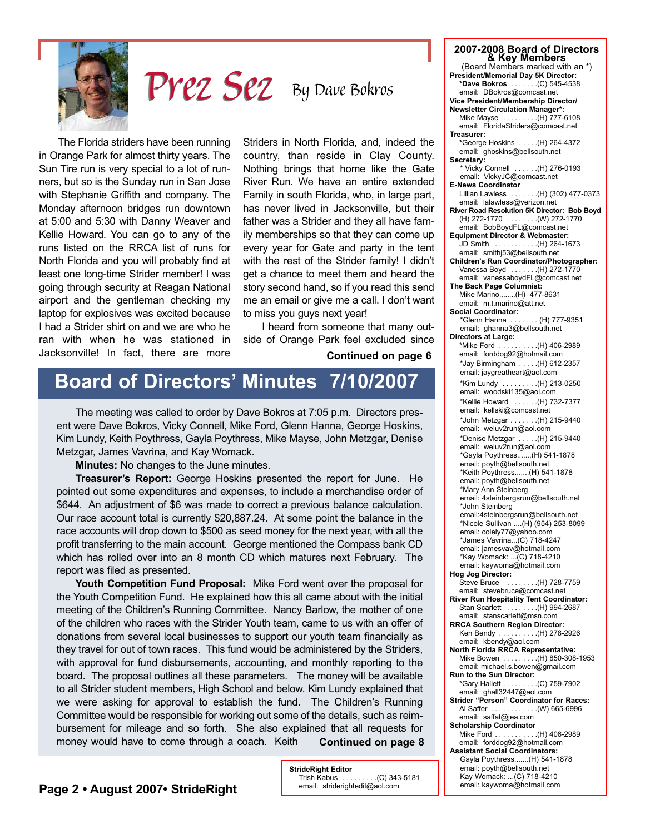

## By Dave Bokros Prez Sez

The Florida striders have been running in Orange Park for almost thirty years. The Sun Tire run is very special to a lot of runners, but so is the Sunday run in San Jose with Stephanie Griffith and company. The Monday afternoon bridges run downtown at 5:00 and 5:30 with Danny Weaver and Kellie Howard. You can go to any of the runs listed on the RRCA list of runs for North Florida and you will probably find at least one long-time Strider member! I was going through security at Reagan National airport and the gentleman checking my laptop for explosives was excited because I had a Strider shirt on and we are who he ran with when he was stationed in Jacksonville! In fact, there are more

Striders in North Florida, and, indeed the country, than reside in Clay County. Nothing brings that home like the Gate River Run. We have an entire extended Family in south Florida, who, in large part, has never lived in Jacksonville, but their father was a Strider and they all have family memberships so that they can come up every year for Gate and party in the tent with the rest of the Strider family! I didn't get a chance to meet them and heard the story second hand, so if you read this send me an email or give me a call. I don't want to miss you guys next year!

I heard from someone that many outside of Orange Park feel excluded since

#### **Continued on page 6**

## **Board of Directors' Minutes 7/10/2007**

The meeting was called to order by Dave Bokros at 7:05 p.m. Directors present were Dave Bokros, Vicky Connell, Mike Ford, Glenn Hanna, George Hoskins, Kim Lundy, Keith Poythress, Gayla Poythress, Mike Mayse, John Metzgar, Denise Metzgar, James Vavrina, and Kay Womack.

**Minutes:** No changes to the June minutes.

**Treasurer's Report:** George Hoskins presented the report for June. He pointed out some expenditures and expenses, to include a merchandise order of \$644. An adjustment of \$6 was made to correct a previous balance calculation. Our race account total is currently \$20,887.24. At some point the balance in the race accounts will drop down to \$500 as seed money for the next year, with all the profit transferring to the main account. George mentioned the Compass bank CD which has rolled over into an 8 month CD which matures next February. The report was filed as presented.

**Youth Competition Fund Proposal:** Mike Ford went over the proposal for the Youth Competition Fund. He explained how this all came about with the initial meeting of the Children's Running Committee. Nancy Barlow, the mother of one of the children who races with the Strider Youth team, came to us with an offer of donations from several local businesses to support our youth team financially as they travel for out of town races. This fund would be administered by the Striders, with approval for fund disbursements, accounting, and monthly reporting to the board. The proposal outlines all these parameters. The money will be available to all Strider student members, High School and below. Kim Lundy explained that we were asking for approval to establish the fund. The Children's Running Committee would be responsible for working out some of the details, such as reimbursement for mileage and so forth. She also explained that all requests for money would have to come through a coach. Keith **Continued on page 8**

> **StrideRight Editor** Trish Kabus . . . . . . . . .(C) 343-5181 email: striderightedit@aol.com

| 2007-2008 Board of Directors                                               |
|----------------------------------------------------------------------------|
| & Key Members                                                              |
| (Board Members marked with an *)                                           |
| President/Memorial Day 5K Director:<br>*Dave Bokros  (C) 545-4538          |
| email: DBokros@comcast.net                                                 |
| Vice President/Membership Director/                                        |
| <b>Newsletter Circulation Manager*:</b>                                    |
| Mike Mayse (H) 777-6108                                                    |
| email: FloridaStriders@comcast.net                                         |
| Treasurer:<br>*George Hoskins  (H) 264-4372                                |
| email: ghoskins@bellsouth.net                                              |
| Secretary:                                                                 |
| * Vicky Connell  (H) 276-0193                                              |
| email: VickyJC@comcast.net<br><b>E-News Coordinator</b>                    |
| Lillian Lawless  (H) (302) 477-0373                                        |
| email: lalawless@verizon.net                                               |
| River Road Resolution 5K Director: Bob Boyd                                |
| (H) 272-1770  (W) 272-1770                                                 |
| email: BobBoydFL@comcast.net<br><b>Equipment Director &amp; Webmaster:</b> |
| JD Smith (H) 264-1673                                                      |
| email: smithj53@bellsouth.net                                              |
| Children's Run Coordinator/Photographer:                                   |
| Vanessa Boyd (H) 272-1770                                                  |
| email: vanessaboydFL@comcast.net<br>The Back Page Columnist:               |
| Mike Marino(H) 477-8631                                                    |
| email: m.t.marino@att.net                                                  |
| Social Coordinator:                                                        |
| *Glenn Hanna  (H) 777-9351                                                 |
| email: ghanna3@bellsouth.net<br><b>Directors at Large:</b>                 |
| *Mike Ford<br>$\ldots \ldots \ldots$ (H) 406-2989                          |
| email: forddog92@hotmail.com                                               |
| *Jay Birmingham (H) 612-2357                                               |
| email: jaygreatheart@aol.com                                               |
| *Kim Lundy<br>$\ldots \ldots \ldots$ (H) 213-0250                          |
| email: woodski135@aol.com                                                  |
| *Kellie Howard  (H) 732-7377                                               |
| email: kellski@comcast.net<br>*John Metzgar (H) 215-9440                   |
| email: weluv2run@aol.com                                                   |
| *Denise Metzgar (H) 215-9440                                               |
| email: weluv2run@aol.com                                                   |
| *Gayla Poythress(H) 541-1878                                               |
| email: poyth@bellsouth.net<br>*Keith Poythress(H) 541-1878                 |
| email: poyth@bellsouth.net                                                 |
| *Mary Ann Steinberg                                                        |
| email: 4steinbergsrun@bellsouth.net                                        |
| John Steinberg                                                             |
| email:4steinbergsrun@bellsouth.net<br>*Nicole Sullivan (H) (954) 253-8099  |
| email: colely77@yahoo.com                                                  |
| *James Vavrina(C) 718-4247                                                 |
| email: jamesvav@hotmail.com                                                |
| *Kay Womack: (C) 718-4210<br>email: kaywoma@hotmail.com                    |
| Hog Jog Director:                                                          |
| <b>Steve Bruce</b><br>. (H) 728-7759                                       |
| email: stevebruce@comcast.net                                              |
| River Run Hospitality Tent Coordinator:                                    |
| Stan Scarlett  (H) 994-2687<br>email: stanscarlett@msn.com                 |
| <b>RRCA Southern Region Director:</b>                                      |
| Ken Bendy  (H) 278-2926                                                    |
| email: kbendy@aol.com                                                      |
| North Florida RRCA Representative:<br>Mike Bowen (H) 850-308-1953          |
| email: michael.s.bowen@gmail.com                                           |
| Run to the Sun Director:                                                   |
| *Gary Hallett (C) 759-7902                                                 |
| email: ghall32447@aol.com                                                  |
| Strider "Person" Coordinator for Races:<br>Al Saffer (W) 665-6996          |
| email: saffat@jea.com                                                      |
| Scholarship Coordinator                                                    |
| (H) 406-2989 (Mike Ford (H)                                                |
| email: forddog92@hotmail.com                                               |
| <b>Assistant Social Coordinators:</b><br>Gayla Poythress(H) 541-1878       |
| email: poyth@bellsouth.net                                                 |
| Kay Womack: (C) 718-4210                                                   |
| email: kaywoma@hotmail.com                                                 |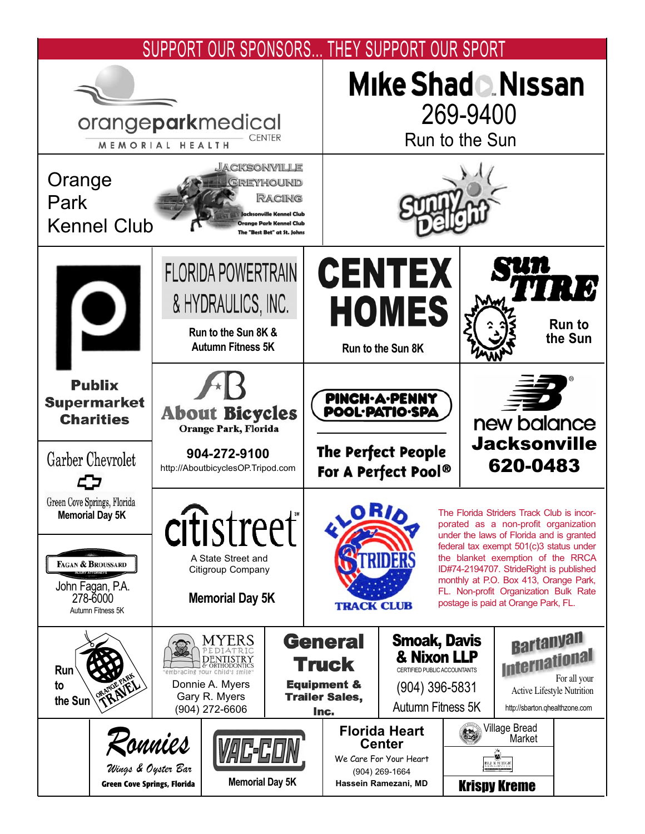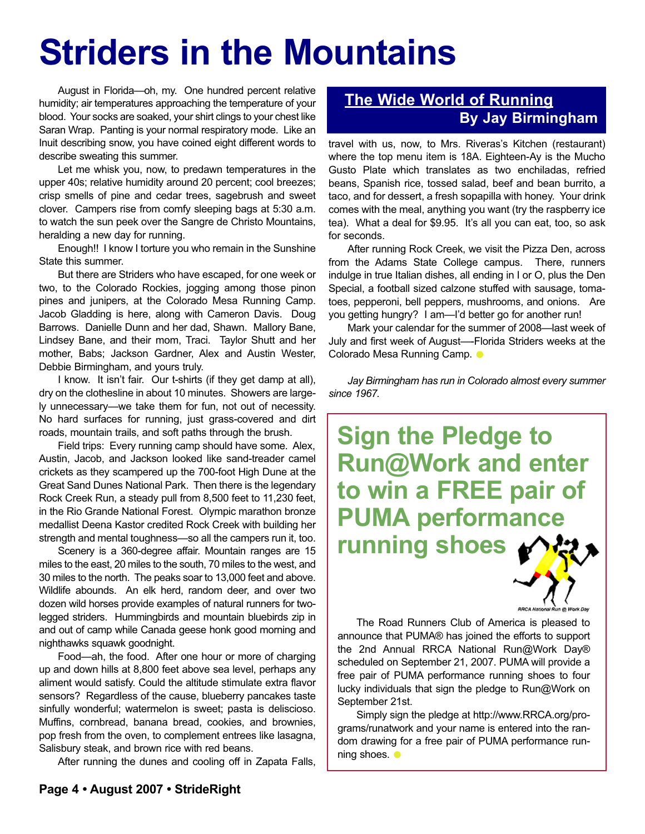## **Striders in the Mountains**

August in Florida—oh, my. One hundred percent relative humidity; air temperatures approaching the temperature of your blood. Your socks are soaked, your shirt clings to your chest like Saran Wrap. Panting is your normal respiratory mode. Like an Inuit describing snow, you have coined eight different words to describe sweating this summer.

Let me whisk you, now, to predawn temperatures in the upper 40s; relative humidity around 20 percent; cool breezes; crisp smells of pine and cedar trees, sagebrush and sweet clover. Campers rise from comfy sleeping bags at 5:30 a.m. to watch the sun peek over the Sangre de Christo Mountains, heralding a new day for running.

Enough!! I know I torture you who remain in the Sunshine State this summer.

But there are Striders who have escaped, for one week or two, to the Colorado Rockies, jogging among those pinon pines and junipers, at the Colorado Mesa Running Camp. Jacob Gladding is here, along with Cameron Davis. Doug Barrows. Danielle Dunn and her dad, Shawn. Mallory Bane, Lindsey Bane, and their mom, Traci. Taylor Shutt and her mother, Babs; Jackson Gardner, Alex and Austin Wester, Debbie Birmingham, and yours truly.

I know. It isn't fair. Our t-shirts (if they get damp at all), dry on the clothesline in about 10 minutes. Showers are largely unnecessary—we take them for fun, not out of necessity. No hard surfaces for running, just grass-covered and dirt roads, mountain trails, and soft paths through the brush.

Field trips: Every running camp should have some. Alex, Austin, Jacob, and Jackson looked like sand-treader camel crickets as they scampered up the 700-foot High Dune at the Great Sand Dunes National Park. Then there is the legendary Rock Creek Run, a steady pull from 8,500 feet to 11,230 feet, in the Rio Grande National Forest. Olympic marathon bronze medallist Deena Kastor credited Rock Creek with building her strength and mental toughness—so all the campers run it, too.

Scenery is a 360-degree affair. Mountain ranges are 15 miles to the east, 20 miles to the south, 70 miles to the west, and 30 miles to the north. The peaks soar to 13,000 feet and above. Wildlife abounds. An elk herd, random deer, and over two dozen wild horses provide examples of natural runners for twolegged striders. Hummingbirds and mountain bluebirds zip in and out of camp while Canada geese honk good morning and nighthawks squawk goodnight.

Food—ah, the food. After one hour or more of charging up and down hills at 8,800 feet above sea level, perhaps any aliment would satisfy. Could the altitude stimulate extra flavor sensors? Regardless of the cause, blueberry pancakes taste sinfully wonderful; watermelon is sweet; pasta is deliscioso. Muffins, cornbread, banana bread, cookies, and brownies, pop fresh from the oven, to complement entrees like lasagna, Salisbury steak, and brown rice with red beans.

After running the dunes and cooling off in Zapata Falls,

#### **The Wide World of Running By Jay Birmingham**

travel with us, now, to Mrs. Riveras's Kitchen (restaurant) where the top menu item is 18A. Eighteen-Ay is the Mucho Gusto Plate which translates as two enchiladas, refried beans, Spanish rice, tossed salad, beef and bean burrito, a taco, and for dessert, a fresh sopapilla with honey. Your drink comes with the meal, anything you want (try the raspberry ice tea). What a deal for \$9.95. It's all you can eat, too, so ask for seconds.

After running Rock Creek, we visit the Pizza Den, across from the Adams State College campus. There, runners indulge in true Italian dishes, all ending in I or O, plus the Den Special, a football sized calzone stuffed with sausage, tomatoes, pepperoni, bell peppers, mushrooms, and onions. Are you getting hungry? I am—I'd better go for another run!

Mark your calendar for the summer of 2008—last week of July and first week of August—-Florida Striders weeks at the Colorado Mesa Running Camp. ●

*Jay Birmingham has run in Colorado almost every summer since 1967.*

**Sign the Pledge to Run@Work and enter to win a FREE pair of PUMA performance running shoes**



The Road Runners Club of America is pleased to announce that PUMA® has joined the efforts to support the 2nd Annual RRCA National Run@Work Day® scheduled on September 21, 2007. PUMA will provide a free pair of PUMA performance running shoes to four lucky individuals that sign the pledge to Run@Work on September 21st.

Simply sign the pledge at http://www.RRCA.org/programs/runatwork and your name is entered into the random drawing for a free pair of PUMA performance running shoes.  $\bullet$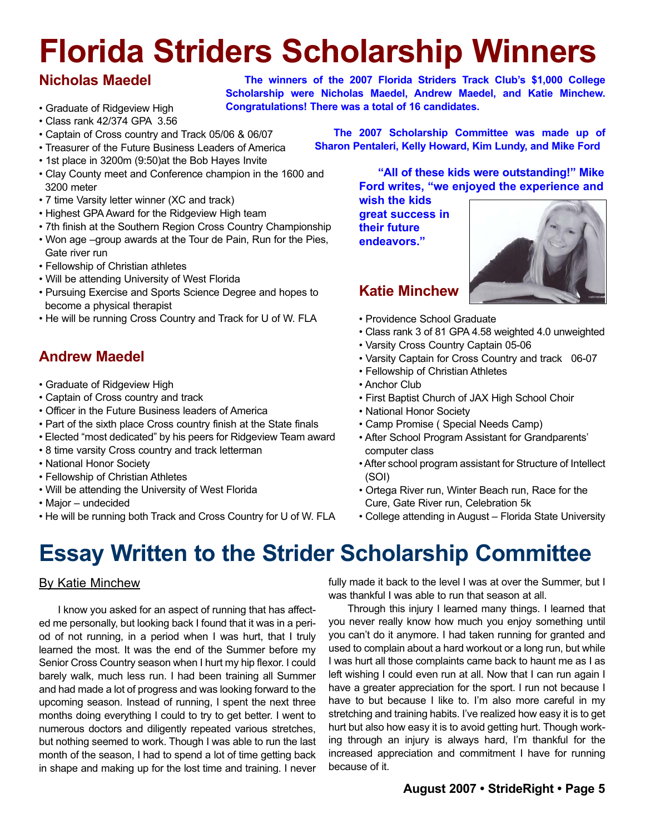## **Florida Striders Scholarship Winners**

#### **Nicholas Maedel**

- Graduate of Ridgeview High
- Class rank 42/374 GPA 3.56
- Captain of Cross country and Track 05/06 & 06/07
- Treasurer of the Future Business Leaders of America
- 1st place in 3200m (9:50)at the Bob Hayes Invite
- Clay County meet and Conference champion in the 1600 and 3200 meter
- 7 time Varsity letter winner (XC and track)
- Highest GPA Award for the Ridgeview High team
- 7th finish at the Southern Region Cross Country Championship
- Won age –group awards at the Tour de Pain, Run for the Pies, Gate river run
- Fellowship of Christian athletes
- Will be attending University of West Florida
- Pursuing Exercise and Sports Science Degree and hopes to become a physical therapist
- He will be running Cross Country and Track for U of W. FLA

#### **Andrew Maedel**

- Graduate of Ridgeview High
- Captain of Cross country and track
- Officer in the Future Business leaders of America
- Part of the sixth place Cross country finish at the State finals
- Elected "most dedicated" by his peers for Ridgeview Team award
- 8 time varsity Cross country and track letterman
- National Honor Society
- Fellowship of Christian Athletes
- Will be attending the University of West Florida
- Major undecided
- He will be running both Track and Cross Country for U of W. FLA

**The winners of the 2007 Florida Striders Track Club's \$1,000 College Scholarship were Nicholas Maedel, Andrew Maedel, and Katie Minchew. Congratulations! There was a total of 16 candidates.**

> **The 2007 Scholarship Committee was made up of Sharon Pentaleri, Kelly Howard, Kim Lundy, and Mike Ford**

> > **"All of these kids were outstanding!" Mike Ford writes, "we enjoyed the experience and wish the kids**

**great success in their future endeavors."**

**Katie Minchew**



- Providence School Graduate
- Class rank 3 of 81 GPA 4.58 weighted 4.0 unweighted
- Varsity Cross Country Captain 05-06
- Varsity Captain for Cross Country and track 06-07
- Fellowship of Christian Athletes
- Anchor Club
- First Baptist Church of JAX High School Choir
- National Honor Society
- Camp Promise ( Special Needs Camp)
- After School Program Assistant for Grandparents' computer class
- After school program assistant for Structure of Intellect (SOI)
- Ortega River run, Winter Beach run, Race for the Cure, Gate River run, Celebration 5k
- College attending in August Florida State University

## **Essay Written to the Strider Scholarship Committee**

#### By Katie Minchew

I know you asked for an aspect of running that has affected me personally, but looking back I found that it was in a period of not running, in a period when I was hurt, that I truly learned the most. It was the end of the Summer before my Senior Cross Country season when I hurt my hip flexor. I could barely walk, much less run. I had been training all Summer and had made a lot of progress and was looking forward to the upcoming season. Instead of running, I spent the next three months doing everything I could to try to get better. I went to numerous doctors and diligently repeated various stretches, but nothing seemed to work. Though I was able to run the last month of the season, I had to spend a lot of time getting back in shape and making up for the lost time and training. I never

fully made it back to the level I was at over the Summer, but I was thankful I was able to run that season at all.

Through this injury I learned many things. I learned that you never really know how much you enjoy something until you can't do it anymore. I had taken running for granted and used to complain about a hard workout or a long run, but while I was hurt all those complaints came back to haunt me as I as left wishing I could even run at all. Now that I can run again I have a greater appreciation for the sport. I run not because I have to but because I like to. I'm also more careful in my stretching and training habits. I've realized how easy it is to get hurt but also how easy it is to avoid getting hurt. Though working through an injury is always hard, I'm thankful for the increased appreciation and commitment I have for running because of it.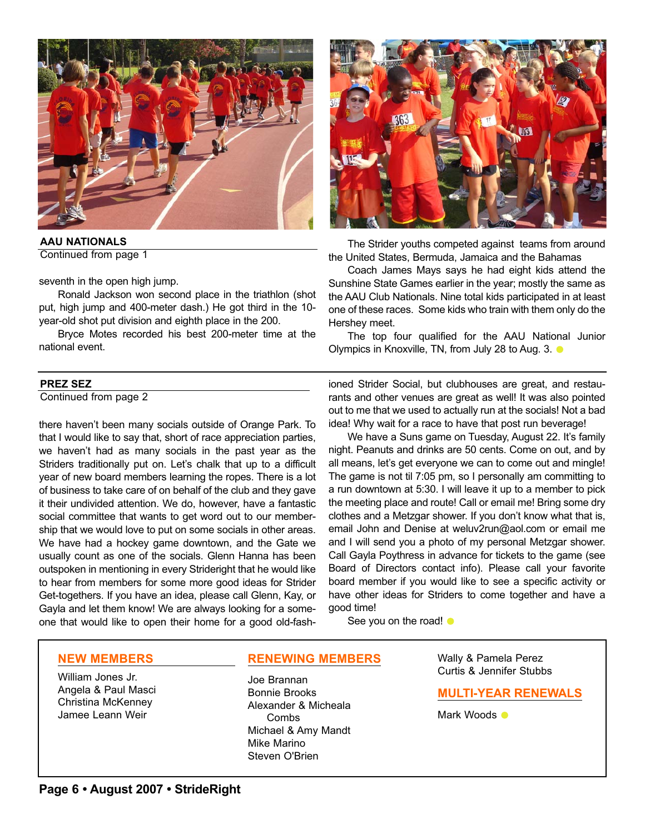

**AAU NATIONALS** Continued from page 1

seventh in the open high jump.

Ronald Jackson won second place in the triathlon (shot put, high jump and 400-meter dash.) He got third in the 10 year-old shot put division and eighth place in the 200.

Bryce Motes recorded his best 200-meter time at the national event.

#### **PREZ SEZ**

Continued from page 2

there haven't been many socials outside of Orange Park. To that I would like to say that, short of race appreciation parties, we haven't had as many socials in the past year as the Striders traditionally put on. Let's chalk that up to a difficult year of new board members learning the ropes. There is a lot of business to take care of on behalf of the club and they gave it their undivided attention. We do, however, have a fantastic social committee that wants to get word out to our membership that we would love to put on some socials in other areas. We have had a hockey game downtown, and the Gate we usually count as one of the socials. Glenn Hanna has been outspoken in mentioning in every Strideright that he would like to hear from members for some more good ideas for Strider Get-togethers. If you have an idea, please call Glenn, Kay, or Gayla and let them know! We are always looking for a someone that would like to open their home for a good old-fash-

ioned Strider Social, but clubhouses are great, and restaurants and other venues are great as well! It was also pointed out to me that we used to actually run at the socials! Not a bad idea! Why wait for a race to have that post run beverage!

The Strider youths competed against teams from around

Coach James Mays says he had eight kids attend the Sunshine State Games earlier in the year; mostly the same as the AAU Club Nationals. Nine total kids participated in at least one of these races. Some kids who train with them only do the

The top four qualified for the AAU National Junior

the United States, Bermuda, Jamaica and the Bahamas

Olympics in Knoxville, TN, from July 28 to Aug. 3.  $\bullet$ 

We have a Suns game on Tuesday, August 22. It's family night. Peanuts and drinks are 50 cents. Come on out, and by all means, let's get everyone we can to come out and mingle! The game is not til 7:05 pm, so I personally am committing to a run downtown at 5:30. I will leave it up to a member to pick the meeting place and route! Call or email me! Bring some dry clothes and a Metzgar shower. If you don't know what that is, email John and Denise at weluv2run@aol.com or email me and I will send you a photo of my personal Metzgar shower. Call Gayla Poythress in advance for tickets to the game (see Board of Directors contact info). Please call your favorite board member if you would like to see a specific activity or have other ideas for Striders to come together and have a good time!

See you on the road!  $\bullet$ 

Hershey meet.

#### **NEW MEMBERS**

William Jones Jr. Angela & Paul Masci Christina McKenney Jamee Leann Weir

#### **RENEWING MEMBERS**

Joe Brannan Bonnie Brooks Alexander & Micheala Combs Michael & Amy Mandt Mike Marino Steven O'Brien

Wally & Pamela Perez Curtis & Jennifer Stubbs

#### **MULTI-YEAR RENEWALS**

Mark Woods  $\bullet$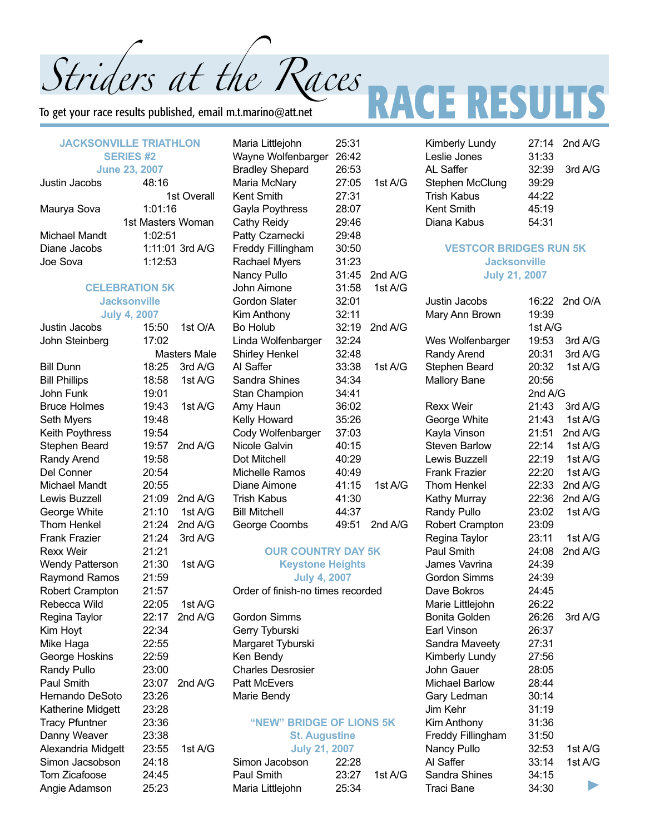To get your race results published, email m.t.marino@att.net

#### **JACKSONVILLE TRIATHLON SERIES #2 June 23, 2007**

| VMIIV LVI LVVI    |  |
|-------------------|--|
| 48:16             |  |
| 1st Overall       |  |
| 1:01:16           |  |
| 1st Masters Woman |  |
| 1:02:51           |  |
| 1:11:01 3rd A/G   |  |
| 1:12:53           |  |
|                   |  |

#### **CELEBRATION 5K Jacksonville July 4, 2007**

| July <del>⊣</del> ,    | ZUV I               |         |  |
|------------------------|---------------------|---------|--|
| Justin Jacobs          | 15:50               | 1st O/A |  |
| John Steinberg         | 17:02               |         |  |
|                        | <b>Masters Male</b> |         |  |
| <b>Bill Dunn</b>       | 18:25               | 3rd A/G |  |
| <b>Bill Phillips</b>   | 18:58               | 1st A/G |  |
| John Funk              | 19:01               |         |  |
| <b>Bruce Holmes</b>    | 19:43               | 1st A/G |  |
| Seth Myers             | 19:48               |         |  |
| Keith Poythress        | 19:54               |         |  |
| Stephen Beard          | 19:57               | 2nd A/G |  |
| Randy Arend            | 19:58               |         |  |
| Del Conner             | 20:54               |         |  |
| <b>Michael Mandt</b>   | 20:55               |         |  |
| Lewis Buzzell          | 21:09               | 2nd A/G |  |
| George White           | 21:10               | 1st A/G |  |
| <b>Thom Henkel</b>     | 21:24               | 2nd A/G |  |
| <b>Frank Frazier</b>   | 21:24               | 3rd A/G |  |
| <b>Rexx Weir</b>       | 21:21               |         |  |
| <b>Wendy Patterson</b> | 21:30               | 1st A/G |  |
| <b>Raymond Ramos</b>   | 21:59               |         |  |
| Robert Crampton        | 21:57               |         |  |
| Rebecca Wild           | 22:05               | 1st A/G |  |
| Regina Taylor          | 22:17               | 2nd A/G |  |
| Kim Hoyt               | 22:34               |         |  |
| Mike Haga              | 22:55               |         |  |
| George Hoskins         | 22:59               |         |  |
| Randy Pullo            | 23:00               |         |  |
| Paul Smith             | 23:07               | 2nd A/G |  |
| Hernando DeSoto        | 23:26               |         |  |
| Katherine Midgett      | 23:28               |         |  |
| <b>Tracy Pfuntner</b>  | 23:36               |         |  |
| Danny Weaver           | 23:38               |         |  |
| Alexandria Midgett     | 23:55               | 1st A/G |  |
| Simon Jacsobson        | 24:18               |         |  |
| Tom Zicafoose          | 24:45               |         |  |
| Angie Adamson          | 25:23               |         |  |
|                        |                     |         |  |

Maria Littlejohn 25:31 Wayne Wolfenbarger 26:42 Bradley Shepard 26:53 Maria McNary 27:05 Kent Smith 27:31 Gayla Poythress 28:07 Cathy Reidy 29:46 Patty Czarnecki 29:48 Freddy Fillingham 30:50 Rachael Myers 31:23 Nancy Pullo 31:45 John Aimone 31:58 Gordon Slater 32:01 Kim Anthony 32:11  $Bo$  Holub  $32:19$ Linda Wolfenbarger 32:24 Shirley Henkel 32:48 Al Saffer 33:38 Sandra Shines 34:34 Stan Champion 34:41 Amy Haun 36:02 Kelly Howard 35:26 Cody Wolfenbarger 37:03 Nicole Galvin 40:15 Dot Mitchell 40:29 Michelle Ramos 40:49 Diane Aimone 41:15 Trish Kabus 41:30 Bill Mitchell 44:37 George Coombs 49:51

#### **OUR COUNTRY DAY Keystone Heights**

#### **July 4, 2007**

Order of finish-no times recor

Gordon Simms Gerry Tyburski Margaret Tyburski Ken Bendy Charles Desrosier Patt McEvers Marie Bendy

#### **"NEW" BRIDGE OF LIO St. Augustine July 21, 2007**

| نا ISI A/ | <b>JUIV 21, 2007</b> |       |         |
|-----------|----------------------|-------|---------|
|           | Simon Jacobson       | 22:28 |         |
|           | Paul Smith           | 23:27 | 1st A/G |
|           | Maria Littlejohn     | 25:34 |         |
|           |                      |       |         |

# Striders at the Races **part RESULTS**

Kimberly Lundy 27:14 2nd A/G

|              | Leslie Jones                                                                                                                                                                                                                                                                                                                                                                                                                                                                                                                                                                                                                                                                                              | 31:33          |                    |
|--------------|-----------------------------------------------------------------------------------------------------------------------------------------------------------------------------------------------------------------------------------------------------------------------------------------------------------------------------------------------------------------------------------------------------------------------------------------------------------------------------------------------------------------------------------------------------------------------------------------------------------------------------------------------------------------------------------------------------------|----------------|--------------------|
|              |                                                                                                                                                                                                                                                                                                                                                                                                                                                                                                                                                                                                                                                                                                           | 32:39          | 3rd A/G            |
|              |                                                                                                                                                                                                                                                                                                                                                                                                                                                                                                                                                                                                                                                                                                           | 39:29          |                    |
|              |                                                                                                                                                                                                                                                                                                                                                                                                                                                                                                                                                                                                                                                                                                           | 44:22          |                    |
|              | <b>AL Saffer</b><br>1st A/G<br>Stephen McClung<br><b>Trish Kabus</b><br><b>Kent Smith</b><br>45:19<br>Diana Kabus<br><b>VESTCOR BRIDGES RUN 5K</b><br><b>Jacksonville</b><br><b>July 21, 2007</b><br>2nd A/G<br>1st A/G<br>Justin Jacobs<br>Mary Ann Brown<br>2nd A/G<br>Wes Wolfenbarger<br>Randy Arend<br>Stephen Beard<br>1st A/G<br><b>Mallory Bane</b><br><b>Rexx Weir</b><br>George White<br>Kayla Vinson<br><b>Steven Barlow</b><br>Lewis Buzzell<br><b>Frank Frazier</b><br>1st A/G<br>Thom Henkel<br>Kathy Murray<br>Randy Pullo<br>Robert Crampton<br>2nd A/G<br>Regina Taylor<br>Paul Smith<br>James Vavrina<br><b>Gordon Simms</b><br>Dave Bokros<br>Marie Littlejohn<br><b>Bonita Golden</b> |                |                    |
|              |                                                                                                                                                                                                                                                                                                                                                                                                                                                                                                                                                                                                                                                                                                           | 54:31          |                    |
|              |                                                                                                                                                                                                                                                                                                                                                                                                                                                                                                                                                                                                                                                                                                           |                |                    |
|              |                                                                                                                                                                                                                                                                                                                                                                                                                                                                                                                                                                                                                                                                                                           |                |                    |
|              |                                                                                                                                                                                                                                                                                                                                                                                                                                                                                                                                                                                                                                                                                                           |                |                    |
|              |                                                                                                                                                                                                                                                                                                                                                                                                                                                                                                                                                                                                                                                                                                           |                |                    |
|              |                                                                                                                                                                                                                                                                                                                                                                                                                                                                                                                                                                                                                                                                                                           | 16:22          | 2nd O/A            |
|              |                                                                                                                                                                                                                                                                                                                                                                                                                                                                                                                                                                                                                                                                                                           | 19:39          |                    |
|              |                                                                                                                                                                                                                                                                                                                                                                                                                                                                                                                                                                                                                                                                                                           | 1st A/G        |                    |
|              |                                                                                                                                                                                                                                                                                                                                                                                                                                                                                                                                                                                                                                                                                                           | 19:53          | 3rd A/G            |
|              |                                                                                                                                                                                                                                                                                                                                                                                                                                                                                                                                                                                                                                                                                                           | 20:31          | 3rd A/G            |
|              |                                                                                                                                                                                                                                                                                                                                                                                                                                                                                                                                                                                                                                                                                                           | 20:32          | 1st A/G            |
|              |                                                                                                                                                                                                                                                                                                                                                                                                                                                                                                                                                                                                                                                                                                           | 20:56          |                    |
|              |                                                                                                                                                                                                                                                                                                                                                                                                                                                                                                                                                                                                                                                                                                           | 2nd A/G        |                    |
|              |                                                                                                                                                                                                                                                                                                                                                                                                                                                                                                                                                                                                                                                                                                           | 21:43          | 3rd A/G<br>1st A/G |
|              |                                                                                                                                                                                                                                                                                                                                                                                                                                                                                                                                                                                                                                                                                                           | 21:43          |                    |
|              |                                                                                                                                                                                                                                                                                                                                                                                                                                                                                                                                                                                                                                                                                                           | 21:51          | 2nd A/G            |
|              |                                                                                                                                                                                                                                                                                                                                                                                                                                                                                                                                                                                                                                                                                                           | 22:14<br>22:19 | 1st A/G<br>1st A/G |
|              |                                                                                                                                                                                                                                                                                                                                                                                                                                                                                                                                                                                                                                                                                                           |                |                    |
|              |                                                                                                                                                                                                                                                                                                                                                                                                                                                                                                                                                                                                                                                                                                           | 22:20<br>22:33 | 1st A/G<br>2nd A/G |
|              |                                                                                                                                                                                                                                                                                                                                                                                                                                                                                                                                                                                                                                                                                                           | 22:36          | 2nd A/G            |
|              |                                                                                                                                                                                                                                                                                                                                                                                                                                                                                                                                                                                                                                                                                                           | 23:02          | 1st A/G            |
|              |                                                                                                                                                                                                                                                                                                                                                                                                                                                                                                                                                                                                                                                                                                           | 23:09          |                    |
|              |                                                                                                                                                                                                                                                                                                                                                                                                                                                                                                                                                                                                                                                                                                           | 23:11          | 1st A/G            |
| 5K           |                                                                                                                                                                                                                                                                                                                                                                                                                                                                                                                                                                                                                                                                                                           | 24:08          | 2nd A/G            |
| š            |                                                                                                                                                                                                                                                                                                                                                                                                                                                                                                                                                                                                                                                                                                           | 24:39          |                    |
|              |                                                                                                                                                                                                                                                                                                                                                                                                                                                                                                                                                                                                                                                                                                           | 24:39          |                    |
| ded          |                                                                                                                                                                                                                                                                                                                                                                                                                                                                                                                                                                                                                                                                                                           | 24:45          |                    |
|              |                                                                                                                                                                                                                                                                                                                                                                                                                                                                                                                                                                                                                                                                                                           | 26:22          |                    |
|              |                                                                                                                                                                                                                                                                                                                                                                                                                                                                                                                                                                                                                                                                                                           | 26:26          | 3rd A/G            |
|              | Earl Vinson                                                                                                                                                                                                                                                                                                                                                                                                                                                                                                                                                                                                                                                                                               | 26:37          |                    |
|              | Sandra Maveety                                                                                                                                                                                                                                                                                                                                                                                                                                                                                                                                                                                                                                                                                            | 27:31          |                    |
|              | Kimberly Lundy                                                                                                                                                                                                                                                                                                                                                                                                                                                                                                                                                                                                                                                                                            | 27:56          |                    |
|              | John Gauer                                                                                                                                                                                                                                                                                                                                                                                                                                                                                                                                                                                                                                                                                                | 28:05          |                    |
|              | Michael Barlow                                                                                                                                                                                                                                                                                                                                                                                                                                                                                                                                                                                                                                                                                            | 28:44          |                    |
|              | Gary Ledman                                                                                                                                                                                                                                                                                                                                                                                                                                                                                                                                                                                                                                                                                               | 30:14          |                    |
|              | Jim Kehr                                                                                                                                                                                                                                                                                                                                                                                                                                                                                                                                                                                                                                                                                                  | 31:19          |                    |
| <b>NS 5K</b> | Kim Anthony                                                                                                                                                                                                                                                                                                                                                                                                                                                                                                                                                                                                                                                                                               | 31:36          |                    |
|              | <b>Freddy Fillingham</b>                                                                                                                                                                                                                                                                                                                                                                                                                                                                                                                                                                                                                                                                                  | 31:50          |                    |
|              | Nancy Pullo                                                                                                                                                                                                                                                                                                                                                                                                                                                                                                                                                                                                                                                                                               | 32:53          | 1st A/G            |
|              | Al Saffer                                                                                                                                                                                                                                                                                                                                                                                                                                                                                                                                                                                                                                                                                                 | 33:14          | 1st A/G            |
| 1st A/G      | Sandra Shines                                                                                                                                                                                                                                                                                                                                                                                                                                                                                                                                                                                                                                                                                             | 34:15          |                    |
|              | Traci Bane                                                                                                                                                                                                                                                                                                                                                                                                                                                                                                                                                                                                                                                                                                | 34:30          |                    |
|              |                                                                                                                                                                                                                                                                                                                                                                                                                                                                                                                                                                                                                                                                                                           |                |                    |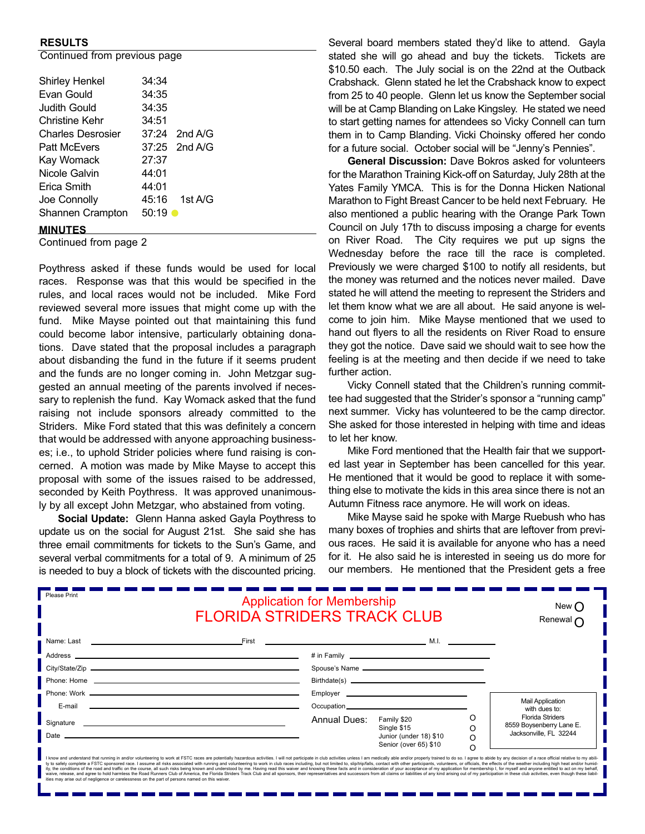#### **RESULTS**

Continued from previous page

| <b>CONTINUOU NON PICTICO</b> |                   |
|------------------------------|-------------------|
| Shirley Henkel               | 34:34             |
| Evan Gould                   | 34:35             |
| Judith Gould                 | 34:35             |
| Christine Kehr               | 34:51             |
| Charles Desrosier            | $37:24$ 2nd A/G   |
| <b>Patt McEvers</b>          | 37:25 2nd A/G     |
| Kay Womack                   | 27:37             |
| Nicole Galvin                | 44:01             |
| Erica Smith                  | 44:01             |
| Joe Connolly                 | $45:16$ 1st A/G   |
| Shannen Crampton             | $50:19$ $\bullet$ |
| <b>MINILITEC</b>             |                   |

#### **MINUTES**

Continued from page 2

Poythress asked if these funds would be used for local races. Response was that this would be specified in the rules, and local races would not be included. Mike Ford reviewed several more issues that might come up with the fund. Mike Mayse pointed out that maintaining this fund could become labor intensive, particularly obtaining donations. Dave stated that the proposal includes a paragraph about disbanding the fund in the future if it seems prudent and the funds are no longer coming in. John Metzgar suggested an annual meeting of the parents involved if necessary to replenish the fund. Kay Womack asked that the fund raising not include sponsors already committed to the Striders. Mike Ford stated that this was definitely a concern that would be addressed with anyone approaching businesses; i.e., to uphold Strider policies where fund raising is concerned. A motion was made by Mike Mayse to accept this proposal with some of the issues raised to be addressed, seconded by Keith Poythress. It was approved unanimously by all except John Metzgar, who abstained from voting.

**Social Update:** Glenn Hanna asked Gayla Poythress to update us on the social for August 21st. She said she has three email commitments for tickets to the Sun's Game, and several verbal commitments for a total of 9. A minimum of 25 is needed to buy a block of tickets with the discounted pricing.

Several board members stated they'd like to attend. Gayla stated she will go ahead and buy the tickets. Tickets are \$10.50 each. The July social is on the 22nd at the Outback Crabshack. Glenn stated he let the Crabshack know to expect from 25 to 40 people. Glenn let us know the September social will be at Camp Blanding on Lake Kingsley. He stated we need to start getting names for attendees so Vicky Connell can turn them in to Camp Blanding. Vicki Choinsky offered her condo for a future social. October social will be "Jenny's Pennies".

**General Discussion:** Dave Bokros asked for volunteers for the Marathon Training Kick-off on Saturday, July 28th at the Yates Family YMCA. This is for the Donna Hicken National Marathon to Fight Breast Cancer to be held next February. He also mentioned a public hearing with the Orange Park Town Council on July 17th to discuss imposing a charge for events on River Road. The City requires we put up signs the Wednesday before the race till the race is completed. Previously we were charged \$100 to notify all residents, but the money was returned and the notices never mailed. Dave stated he will attend the meeting to represent the Striders and let them know what we are all about. He said anyone is welcome to join him. Mike Mayse mentioned that we used to hand out flyers to all the residents on River Road to ensure they got the notice. Dave said we should wait to see how the feeling is at the meeting and then decide if we need to take further action.

Vicky Connell stated that the Children's running committee had suggested that the Strider's sponsor a "running camp" next summer. Vicky has volunteered to be the camp director. She asked for those interested in helping with time and ideas to let her know.

Mike Ford mentioned that the Health fair that we supported last year in September has been cancelled for this year. He mentioned that it would be good to replace it with something else to motivate the kids in this area since there is not an Autumn Fitness race anymore. He will work on ideas.

Mike Mayse said he spoke with Marge Ruebush who has many boxes of trophies and shirts that are leftover from previous races. He said it is available for anyone who has a need for it. He also said he is interested in seeing us do more for our members. He mentioned that the President gets a free

| Please Print<br><b>Application for Membership</b><br><b>FLORIDA STRIDERS TRACK CLUB</b>                                                                                                                                                                                                                                                                                                                                                                                                                                                                                                                                                                                                                                                                                                                                                                                                                                                                                                                                               |                                                                                                                                                                                                                                                                                                                                                               |              |                                                                               | New (<br>Renewal $\cap$ |                                                                        |
|---------------------------------------------------------------------------------------------------------------------------------------------------------------------------------------------------------------------------------------------------------------------------------------------------------------------------------------------------------------------------------------------------------------------------------------------------------------------------------------------------------------------------------------------------------------------------------------------------------------------------------------------------------------------------------------------------------------------------------------------------------------------------------------------------------------------------------------------------------------------------------------------------------------------------------------------------------------------------------------------------------------------------------------|---------------------------------------------------------------------------------------------------------------------------------------------------------------------------------------------------------------------------------------------------------------------------------------------------------------------------------------------------------------|--------------|-------------------------------------------------------------------------------|-------------------------|------------------------------------------------------------------------|
|                                                                                                                                                                                                                                                                                                                                                                                                                                                                                                                                                                                                                                                                                                                                                                                                                                                                                                                                                                                                                                       |                                                                                                                                                                                                                                                                                                                                                               |              |                                                                               |                         |                                                                        |
|                                                                                                                                                                                                                                                                                                                                                                                                                                                                                                                                                                                                                                                                                                                                                                                                                                                                                                                                                                                                                                       |                                                                                                                                                                                                                                                                                                                                                               |              |                                                                               |                         |                                                                        |
|                                                                                                                                                                                                                                                                                                                                                                                                                                                                                                                                                                                                                                                                                                                                                                                                                                                                                                                                                                                                                                       |                                                                                                                                                                                                                                                                                                                                                               |              | Spouse's Name                                                                 |                         |                                                                        |
|                                                                                                                                                                                                                                                                                                                                                                                                                                                                                                                                                                                                                                                                                                                                                                                                                                                                                                                                                                                                                                       | Phone: Home et al. 2006. The contract of the contract of the contract of the contract of the contract of the contract of the contract of the contract of the contract of the contract of the contract of the contract of the c                                                                                                                                |              |                                                                               |                         |                                                                        |
|                                                                                                                                                                                                                                                                                                                                                                                                                                                                                                                                                                                                                                                                                                                                                                                                                                                                                                                                                                                                                                       |                                                                                                                                                                                                                                                                                                                                                               |              |                                                                               |                         |                                                                        |
| E-mail                                                                                                                                                                                                                                                                                                                                                                                                                                                                                                                                                                                                                                                                                                                                                                                                                                                                                                                                                                                                                                | <u>state and the state of the state of the state of the state of the state of the state of the state of the state of the state of the state of the state of the state of the state of the state of the state of the state of the</u>                                                                                                                          |              |                                                                               |                         | <b>Mail Application</b><br>with dues to:                               |
| Date $\equiv$                                                                                                                                                                                                                                                                                                                                                                                                                                                                                                                                                                                                                                                                                                                                                                                                                                                                                                                                                                                                                         | Signature <b>contract and a series of the series of the series of the series of the series of the series of the series of the series of the series of the series of the series of the series of the series of the series of the </b><br><u> 1989 - Johann Johann Stoff, deutscher Stoff, der Stoff, der Stoff, der Stoff, der Stoff, der Stoff, der Stoff</u> | Annual Dues: | Family \$20<br>Single \$15<br>Junior (under 18) \$10<br>Senior (over 65) \$10 | Ω<br>$\Omega$           | Florida Striders<br>8559 Boysenberry Lane E.<br>Jacksonville, FL 32244 |
| I know and understand that running in and/or volunteering to work at FSTC races are potentially hazardous activities. I will not participate in club activities unless I am medically able and/or properly trained to do so. I<br>ty to safely complete a FSTC sponsored race. I assume all risks associated with running and volunteering to work in club races including, but not limited to, slip/trip/falls, contact with other participants, volunteers, or<br>ity, the conditions of the road and traffic on the course, all such risks being known and understood by me. Having read this waiver and knowing these facts and in consideration of your acceptance of my application for memb<br>waive, release, and agree to hold harmless the Road Runners Club of America, the Florida Striders Track Club and all sponsors, their representatives and successors from all claims or liabilities of any kind arising out of<br>ities may arise out of negligence or carelessness on the part of persons named on this waiver. |                                                                                                                                                                                                                                                                                                                                                               |              |                                                                               |                         |                                                                        |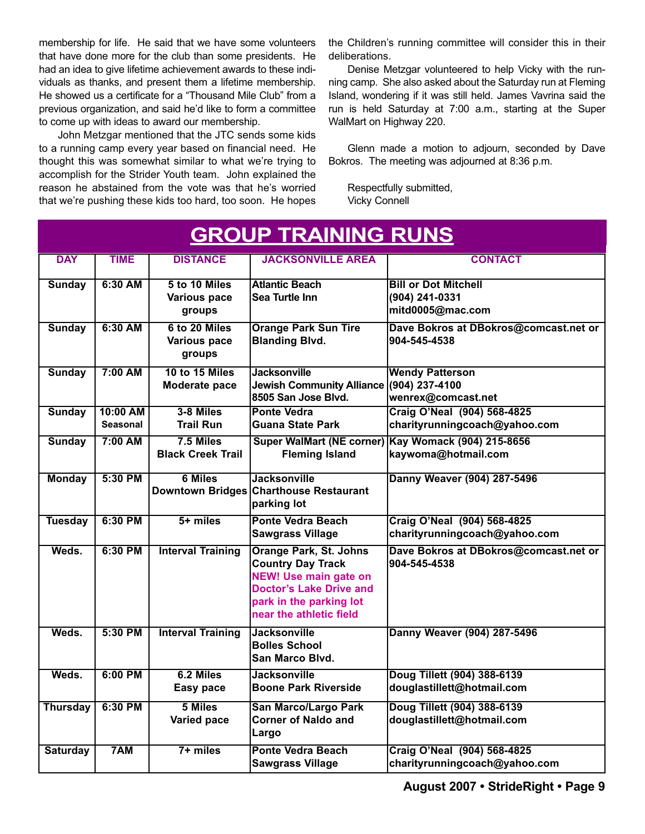membership for life. He said that we have some volunteers that have done more for the club than some presidents. He had an idea to give lifetime achievement awards to these individuals as thanks, and present them a lifetime membership. He showed us a certificate for a "Thousand Mile Club" from a previous organization, and said he'd like to form a committee to come up with ideas to award our membership.

John Metzgar mentioned that the JTC sends some kids to a running camp every year based on financial need. He thought this was somewhat similar to what we're trying to accomplish for the Strider Youth team. John explained the reason he abstained from the vote was that he's worried that we're pushing these kids too hard, too soon. He hopes

the Children's running committee will consider this in their deliberations.

Denise Metzgar volunteered to help Vicky with the running camp. She also asked about the Saturday run at Fleming Island, wondering if it was still held. James Vavrina said the run is held Saturday at 7:00 a.m., starting at the Super WalMart on Highway 220.

Glenn made a motion to adjourn, seconded by Dave Bokros. The meeting was adjourned at 8:36 p.m.

Respectfully submitted, Vicky Connell

| <b>GROUP TRAINING RUNS</b> |                             |                                                |                                                                                                                                                                                   |                                                                            |  |  |
|----------------------------|-----------------------------|------------------------------------------------|-----------------------------------------------------------------------------------------------------------------------------------------------------------------------------------|----------------------------------------------------------------------------|--|--|
| <b>DAY</b>                 | <b>TIME</b>                 | <b>DISTANCE</b>                                | <b>JACKSONVILLE AREA</b>                                                                                                                                                          | <b>CONTACT</b>                                                             |  |  |
| <b>Sunday</b>              | 6:30 AM                     | 5 to 10 Miles<br><b>Various pace</b><br>groups | <b>Atlantic Beach</b><br>Sea Turtle Inn                                                                                                                                           | <b>Bill or Dot Mitchell</b><br>(904) 241-0331<br>mitd0005@mac.com          |  |  |
| <b>Sunday</b>              | $6:30$ AM                   | 6 to 20 Miles<br>Various pace<br><b>groups</b> | <b>Orange Park Sun Tire</b><br><b>Blanding Blvd.</b>                                                                                                                              | Dave Bokros at DBokros@comcast.net or<br>904-545-4538                      |  |  |
| <b>Sunday</b>              | $7:00$ AM                   | <b>10 to 15 Miles</b><br>Moderate pace         | <b>Jacksonville</b><br>Jewish Community Alliance (904) 237-4100<br>8505 San Jose Blvd.                                                                                            | <b>Wendy Patterson</b><br>wenrex@comcast.net                               |  |  |
| <b>Sunday</b>              | 10:00 AM<br><b>Seasonal</b> | 3-8 Miles<br><b>Trail Run</b>                  | <b>Ponte Vedra</b><br><b>Guana State Park</b>                                                                                                                                     | Craig O'Neal (904) 568-4825<br>charityrunningcoach@yahoo.com               |  |  |
| <b>Sunday</b>              | 7:00 AM                     | 7.5 Miles<br><b>Black Creek Trail</b>          | <b>Fleming Island</b>                                                                                                                                                             | Super WalMart (NE corner) Kay Womack (904) 215-8656<br>kaywoma@hotmail.com |  |  |
| <b>Monday</b>              | 5:30 PM                     | <b>6 Miles</b>                                 | <b>Jacksonville</b><br>Downtown Bridges Charthouse Restaurant<br>parking lot                                                                                                      | Danny Weaver (904) 287-5496                                                |  |  |
| <b>Tuesday</b>             | $6:30$ PM                   | $5 +$ miles                                    | <b>Ponte Vedra Beach</b><br><b>Sawgrass Village</b>                                                                                                                               | Craig O'Neal (904) 568-4825<br>charityrunningcoach@yahoo.com               |  |  |
| Weds.                      | 6:30 PM                     | <b>Interval Training</b>                       | <b>Orange Park, St. Johns</b><br><b>Country Day Track</b><br><b>NEW! Use main gate on</b><br><b>Doctor's Lake Drive and</b><br>park in the parking lot<br>near the athletic field | Dave Bokros at DBokros@comcast.net or<br>904-545-4538                      |  |  |
| Weds.                      | 5:30 PM                     | <b>Interval Training</b>                       | <b>Jacksonville</b><br><b>Bolles School</b><br>lSan Marco Blvd.                                                                                                                   | Danny Weaver (904) 287-5496                                                |  |  |
| Weds.                      | $6:00$ PM                   | 6.2 Miles<br>Easy pace                         | <b>Jacksonville</b><br><b>Boone Park Riverside</b>                                                                                                                                | Doug Tillett (904) 388-6139<br>douglastillett@hotmail.com                  |  |  |
| <b>Thursday</b>            | 6:30 PM                     | 5 Miles<br>Varied pace                         | <b>San Marco/Largo Park</b><br><b>Corner of Naldo and</b><br>Largo                                                                                                                | Doug Tillett (904) 388-6139<br>douglastillett@hotmail.com                  |  |  |
| <b>Saturday</b>            | 7AM                         | $7+$ miles                                     | <b>Ponte Vedra Beach</b><br><b>Sawgrass Village</b>                                                                                                                               | <b>Craig O'Neal (904) 568-4825</b><br>charityrunningcoach@yahoo.com        |  |  |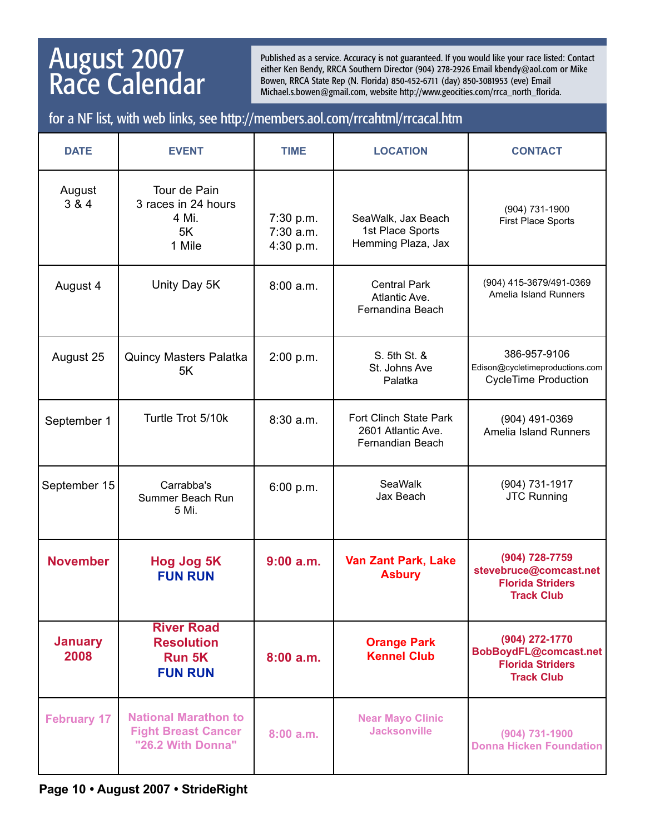## August 2007 Race Calendar

Published as a service. Accuracy is not guaranteed. If you would like your race listed: Contact either Ken Bendy, RRCA Southern Director (904) 278-2926 Email kbendy@aol.com or Mike Bowen, RRCA State Rep (N. Florida) 850-452-6711 (day) 850-3081953 (eve) Email Michael.s.bowen@gmail.com, website http://www.geocities.com/rrca\_north\_florida.

### for a NF list, with web links, see http://members.aol.com/rrcahtml/rrcacal.htm

| <b>DATE</b>            | <b>EVENT</b>                                                                   | <b>TIME</b>                         | <b>LOCATION</b>                                                         | <b>CONTACT</b>                                                                           |
|------------------------|--------------------------------------------------------------------------------|-------------------------------------|-------------------------------------------------------------------------|------------------------------------------------------------------------------------------|
| August<br>3 & 4        | Tour de Pain<br>3 races in 24 hours<br>4 Mi.<br>5K<br>1 Mile                   | 7:30 p.m.<br>7:30 a.m.<br>4:30 p.m. | SeaWalk, Jax Beach<br>1st Place Sports<br>Hemming Plaza, Jax            | (904) 731-1900<br><b>First Place Sports</b>                                              |
| August 4               | Unity Day 5K                                                                   | 8:00 a.m.                           | <b>Central Park</b><br>Atlantic Ave.<br>Fernandina Beach                | (904) 415-3679/491-0369<br>Amelia Island Runners                                         |
| August 25              | <b>Quincy Masters Palatka</b><br>5K                                            | 2:00 p.m.                           | S. 5th St. &<br>St. Johns Ave<br>Palatka                                | 386-957-9106<br>Edison@cycletimeproductions.com<br><b>CycleTime Production</b>           |
| September 1            | Turtle Trot 5/10k                                                              | $8:30$ a.m.                         | <b>Fort Clinch State Park</b><br>2601 Atlantic Ave.<br>Fernandian Beach | (904) 491-0369<br>Amelia Island Runners                                                  |
| September 15           | Carrabba's<br>Summer Beach Run<br>5 Mi.                                        | 6:00 p.m.                           | <b>SeaWalk</b><br>Jax Beach                                             | (904) 731-1917<br><b>JTC Running</b>                                                     |
| <b>November</b>        | <b>Hog Jog 5K</b><br><b>FUN RUN</b>                                            | $9:00$ a.m.                         | <b>Van Zant Park, Lake</b><br><b>Asbury</b>                             | (904) 728-7759<br>stevebruce@comcast.net<br><b>Florida Striders</b><br><b>Track Club</b> |
| <b>January</b><br>2008 | <b>River Road</b><br><b>Resolution</b><br>Run 5K<br><b>FUN RUN</b>             | 8:00a.m.                            | <b>Orange Park</b><br><b>Kennel Club</b>                                | (904) 272-1770<br>BobBoydFL@comcast.net<br><b>Florida Striders</b><br><b>Track Club</b>  |
| <b>February 17</b>     | <b>National Marathon to</b><br><b>Fight Breast Cancer</b><br>"26.2 With Donna" | 8:00a.m.                            | <b>Near Mayo Clinic</b><br><b>Jacksonville</b>                          | (904) 731-1900<br><b>Donna Hicken Foundation</b>                                         |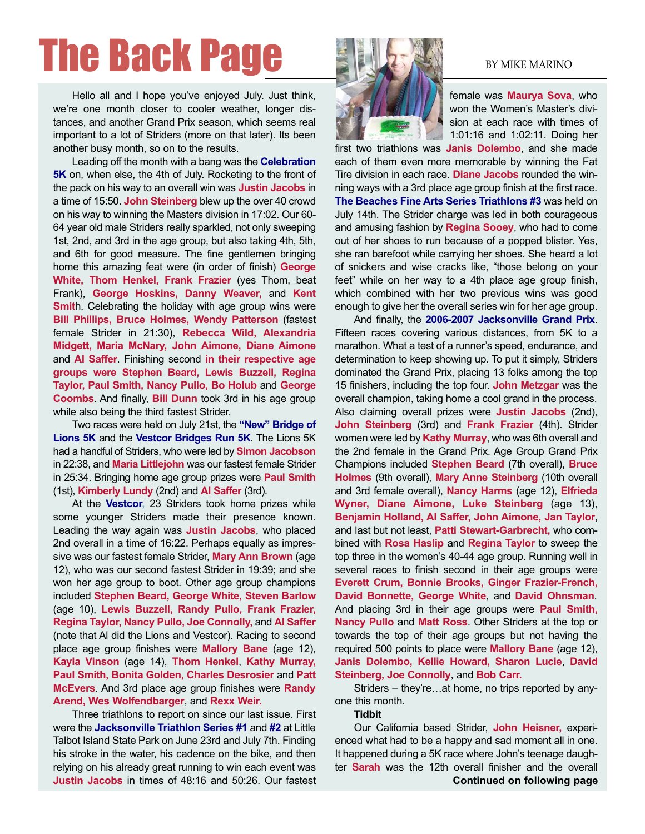## The Back Page BULGARY BY MIKE MARINO

Hello all and I hope you've enjoyed July. Just think, we're one month closer to cooler weather, longer distances, and another Grand Prix season, which seems real important to a lot of Striders (more on that later). Its been another busy month, so on to the results.

Leading off the month with a bang was the **Celebration 5K** on, when else, the 4th of July. Rocketing to the front of the pack on his way to an overall win was **Justin Jacobs** in a time of 15:50. **John Steinberg** blew up the over 40 crowd on his way to winning the Masters division in 17:02. Our 60- 64 year old male Striders really sparkled, not only sweeping 1st, 2nd, and 3rd in the age group, but also taking 4th, 5th, and 6th for good measure. The fine gentlemen bringing home this amazing feat were (in order of finish) **George White, Thom Henkel, Frank Frazier** (yes Thom, beat Frank), **George Hoskins, Danny Weaver,** and **Kent Smit**h. Celebrating the holiday with age group wins were **Bill Phillips, Bruce Holmes, Wendy Patterson** (fastest female Strider in 21:30), **Rebecca Wild, Alexandria Midgett, Maria McNary, John Aimone, Diane Aimone** and **Al Saffer**. Finishing second **in their respective age groups were Stephen Beard, Lewis Buzzell, Regina Taylor, Paul Smith, Nancy Pullo, Bo Holub** and **George Coombs**. And finally, **Bill Dunn** took 3rd in his age group while also being the third fastest Strider.

Two races were held on July 21st, the **"New" Bridge of Lions 5K** and the **Vestcor Bridges Run 5K**. The Lions 5K had a handful of Striders, who were led by **Simon Jacobson** in 22:38, and **Maria Littlejohn** was our fastest female Strider in 25:34. Bringing home age group prizes were **Paul Smith** (1st), **Kimberly Lundy** (2nd) and **Al Saffer** (3rd).

At the **Vestcor,** 23 Striders took home prizes while some younger Striders made their presence known. Leading the way again was **Justin Jacobs**, who placed 2nd overall in a time of 16:22. Perhaps equally as impressive was our fastest female Strider, **Mary Ann Brown** (age 12), who was our second fastest Strider in 19:39; and she won her age group to boot. Other age group champions included **Stephen Beard, George White, Steven Barlow** (age 10), **Lewis Buzzell, Randy Pullo, Frank Frazier, Regina Taylor, Nancy Pullo, Joe Connolly,** and **Al Saffer** (note that Al did the Lions and Vestcor). Racing to second place age group finishes were **Mallory Bane** (age 12), **Kayla Vinson** (age 14), **Thom Henkel**, **Kathy Murray, Paul Smith, Bonita Golden, Charles Desrosier** and **Patt McEvers**. And 3rd place age group finishes were **Randy Arend, Wes Wolfendbarger**, and **Rexx Weir.**

Three triathlons to report on since our last issue. First were the **Jacksonville Triathlon Series #1** and **#2** at Little Talbot Island State Park on June 23rd and July 7th. Finding his stroke in the water, his cadence on the bike, and then relying on his already great running to win each event was **Justin Jacobs** in times of 48:16 and 50:26. Our fastest



female was **Maurya Sova**, who won the Women's Master's division at each race with times of 1:01:16 and 1:02:11. Doing her

first two triathlons was **Janis Dolembo**, and she made each of them even more memorable by winning the Fat Tire division in each race. **Diane Jacobs** rounded the winning ways with a 3rd place age group finish at the first race. **The Beaches Fine Arts Series Triathlons #3** was held on July 14th. The Strider charge was led in both courageous and amusing fashion by **Regina Sooey**, who had to come out of her shoes to run because of a popped blister. Yes, she ran barefoot while carrying her shoes. She heard a lot of snickers and wise cracks like, "those belong on your feet" while on her way to a 4th place age group finish, which combined with her two previous wins was good enough to give her the overall series win for her age group.

And finally, the **2006-2007 Jacksonville Grand Prix**. Fifteen races covering various distances, from 5K to a marathon. What a test of a runner's speed, endurance, and determination to keep showing up. To put it simply, Striders dominated the Grand Prix, placing 13 folks among the top 15 finishers, including the top four. **John Metzgar** was the overall champion, taking home a cool grand in the process. Also claiming overall prizes were **Justin Jacobs** (2nd), **John Steinberg** (3rd) and **Frank Frazier** (4th). Strider women were led by **Kathy Murray**, who was 6th overall and the 2nd female in the Grand Prix. Age Group Grand Prix Champions included **Stephen Beard** (7th overall), **Bruce Holmes** (9th overall), **Mary Anne Steinberg** (10th overall and 3rd female overall), **Nancy Harms** (age 12), **Elfrieda Wyner, Diane Aimone, Luke Steinberg** (age 13), **Benjamin Holland, Al Saffer, John Aimone, Jan Taylor**, and last but not least, **Patti Stewart-Garbrecht,** who combined with **Rosa Haslip** and **Regina Taylor** to sweep the top three in the women's 40-44 age group. Running well in several races to finish second in their age groups were **Everett Crum, Bonnie Brooks, Ginger Frazier-French, David Bonnette, George White**, and **David Ohnsman**. And placing 3rd in their age groups were **Paul Smith, Nancy Pullo** and **Matt Ross**. Other Striders at the top or towards the top of their age groups but not having the required 500 points to place were **Mallory Bane** (age 12), **Janis Dolembo, Kellie Howard, Sharon Lucie**, **David Steinberg, Joe Connolly**, and **Bob Carr.**

Striders – they're…at home, no trips reported by anyone this month.

#### **Tidbit**

Our California based Strider, **John Heisner,** experienced what had to be a happy and sad moment all in one. It happened during a 5K race where John's teenage daughter **Sarah** was the 12th overall finisher and the overall **Continued on following page**